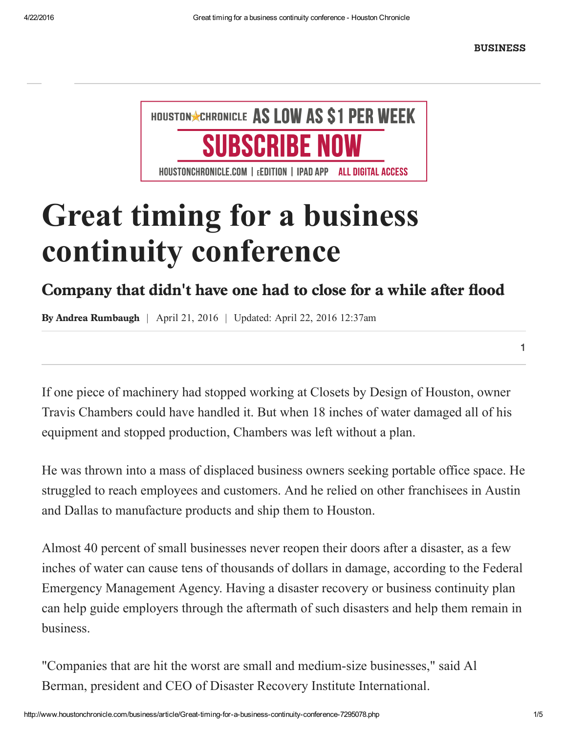[BUSINESS](http://www.houstonchronicle.com/business/)

1



# Great timing for a business continuity conference

## Company that didn't have one had to close for a while after flood

**By Andrea Rumbaugh** | April 21, 2016 | Updated: April 22, 2016 12:37am

If one piece of machinery had stopped working at Closets by Design of Houston, owner Travis Chambers could have handled it. But when 18 inches of water damaged all of his equipment and stopped production, Chambers was left without a plan.

He was thrown into a mass of displaced business owners seeking portable office space. He struggled to reach employees and customers. And he relied on other franchisees in Austin and Dallas to manufacture products and ship them to Houston.

Almost 40 percent of small businesses never reopen their doors after a disaster, as a few inches of water can cause tens of thousands of dollars in damage, according to the Federal Emergency Management Agency. Having a disaster recovery or business continuity plan can help guide employers through the aftermath of such disasters and help them remain in business.

"Companies that are hit the worst are small and medium-size businesses," said Al Berman, president and CEO of Disaster Recovery Institute International.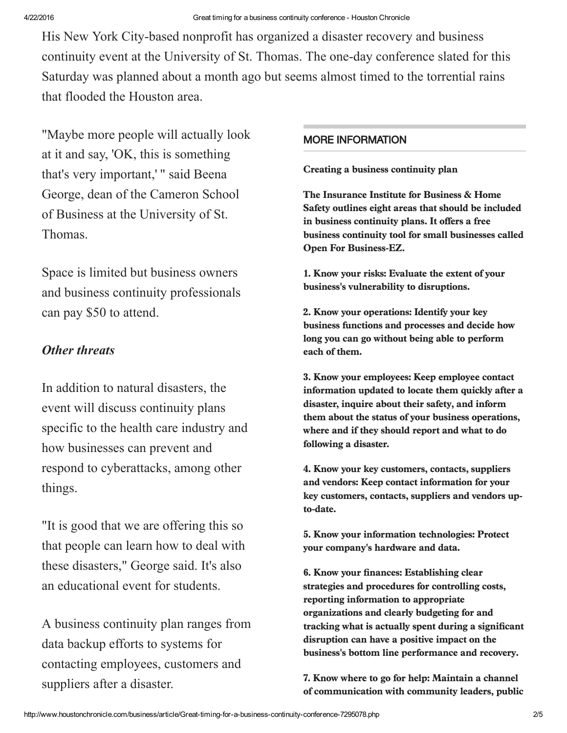His New York City-based nonprofit has organized a disaster recovery and business continuity event at the University of St. Thomas. The one-day conference slated for this Saturday was planned about a month ago but seems almost timed to the torrential rains that flooded the Houston area.

"Maybe more people will actually look at it and say, 'OK, this is something that's very important,' " said Beena George, dean of the Cameron School of Business at the University of St. Thomas.

Space is limited but business owners and business continuity professionals can pay \$50 to attend.

#### Other threats

In addition to natural disasters, the event will discuss continuity plans specific to the health care industry and how businesses can prevent and respond to cyberattacks, among other things.

"It is good that we are offering this so that people can learn how to deal with these disasters," George said. It's also an educational event for students.

A business continuity plan ranges from data backup efforts to systems for contacting employees, customers and suppliers after a disaster.

#### MORE INFORMATION

Creating a business continuity plan

The Insurance Institute for Business & Home Safety outlines eight areas that should be included in business continuity plans. It offers a free business continuity tool for small businesses called Open For Business-EZ.

1. Know your risks: Evaluate the extent of your business's vulnerability to disruptions.

2. Know your operations: Identify your key business functions and processes and decide how long you can go without being able to perform each of them.

3. Know your employees: Keep employee contact information updated to locate them quickly after a disaster, inquire about their safety, and inform them about the status of your business operations, where and if they should report and what to do following a disaster.

4. Know your key customers, contacts, suppliers and vendors: Keep contact information for your key customers, contacts, suppliers and vendors upto-date.

5. Know your information technologies: Protect your company's hardware and data.

6. Know your finances: Establishing clear strategies and procedures for controlling costs, reporting information to appropriate organizations and clearly budgeting for and tracking what is actually spent during a significant disruption can have a positive impact on the business's bottom line performance and recovery.

7. Know where to go for help: Maintain a channel of communication with community leaders, public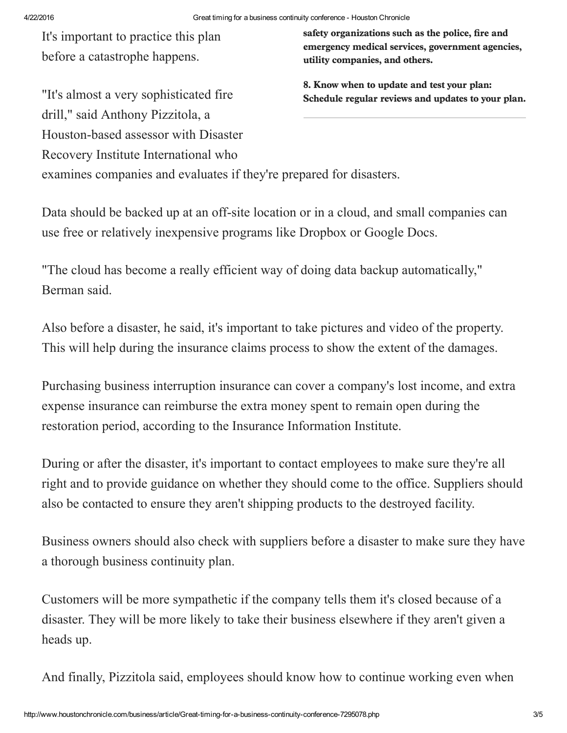It's important to practice this plan before a catastrophe happens.

"It's almost a very sophisticated fire

drill," said Anthony Pizzitola, a

safety organizations such as the police, fire and emergency medical services, government agencies, utility companies, and others.

8. Know when to update and test your plan: Schedule regular reviews and updates to your plan.

Houston-based assessor with Disaster Recovery Institute International who examines companies and evaluates if they're prepared for disasters.

Data should be backed up at an off-site location or in a cloud, and small companies can use free or relatively inexpensive programs like Dropbox or Google Docs.

"The cloud has become a really efficient way of doing data backup automatically," Berman said.

Also before a disaster, he said, it's important to take pictures and video of the property. This will help during the insurance claims process to show the extent of the damages.

Purchasing business interruption insurance can cover a company's lost income, and extra expense insurance can reimburse the extra money spent to remain open during the restoration period, according to the Insurance Information Institute.

During or after the disaster, it's important to contact employees to make sure they're all right and to provide guidance on whether they should come to the office. Suppliers should also be contacted to ensure they aren't shipping products to the destroyed facility.

Business owners should also check with suppliers before a disaster to make sure they have a thorough business continuity plan.

Customers will be more sympathetic if the company tells them it's closed because of a disaster. They will be more likely to take their business elsewhere if they aren't given a heads up.

And finally, Pizzitola said, employees should know how to continue working even when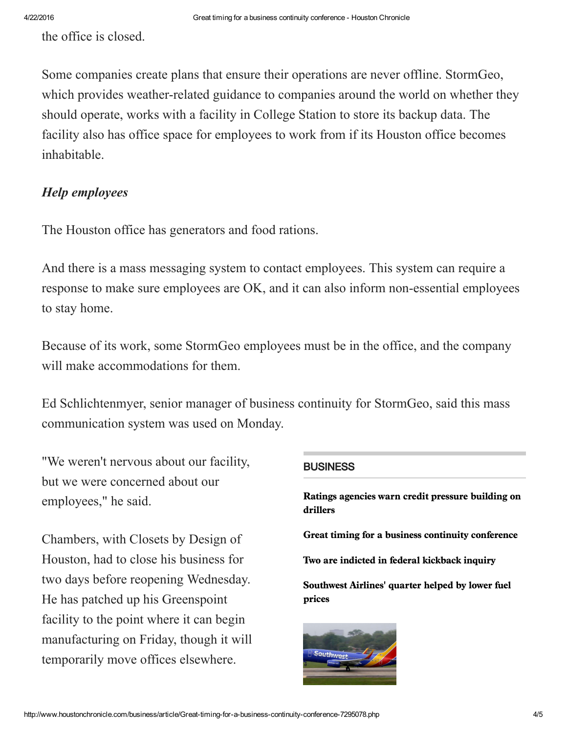the office is closed.

Some companies create plans that ensure their operations are never offline. StormGeo, which provides weather-related guidance to companies around the world on whether they should operate, works with a facility in College Station to store its backup data. The facility also has office space for employees to work from if its Houston office becomes inhabitable.

### Help employees

The Houston office has generators and food rations.

And there is a mass messaging system to contact employees. This system can require a response to make sure employees are OK, and it can also inform non-essential employees to stay home.

Because of its work, some StormGeo employees must be in the office, and the company will make accommodations for them.

Ed Schlichtenmyer, senior manager of business continuity for StormGeo, said this mass communication system was used on Monday.

"We weren't nervous about our facility, but we were concerned about our employees," he said.

Chambers, with Closets by Design of Houston, had to close his business for two days before reopening Wednesday. He has patched up his Greenspoint facility to the point where it can begin manufacturing on Friday, though it will temporarily move offices elsewhere.

#### **BUSINESS**

Ratings agencies warn credit [pressure](http://www.houstonchronicle.com/business/article/Ratings-agencies-warn-credit-pressure-building-on-7295079.php) building on drillers

Great timing for a business continuity [conference](http://www.houstonchronicle.com/business/article/Great-timing-for-a-business-continuity-conference-7295078.php)

Two are indicted in federal [kickback](http://www.houstonchronicle.com/business/article/Two-are-indicted-in-federal-kickback-inquiry-7295074.php) inquiry

[Southwest](http://www.houstonchronicle.com/business/article/Southwest-Airlines-quarter-helped-by-lower-fuel-7295067.php) Airlines' quarter helped by lower fuel prices